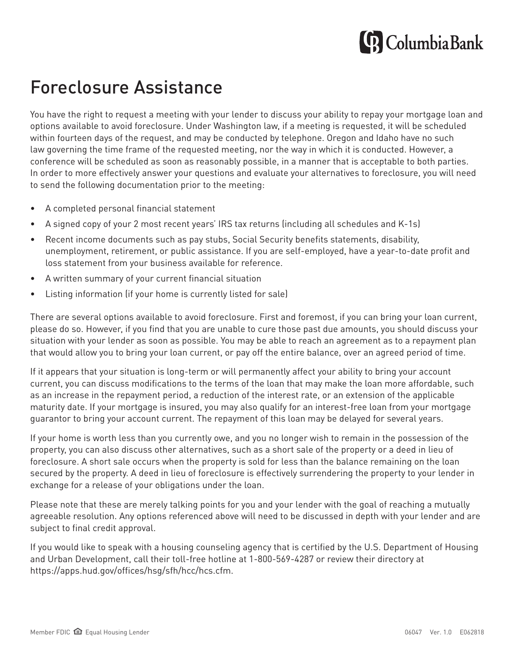# **G** Columbia Bank

## Foreclosure Assistance

You have the right to request a meeting with your lender to discuss your ability to repay your mortgage loan and options available to avoid foreclosure. Under Washington law, if a meeting is requested, it will be scheduled within fourteen days of the request, and may be conducted by telephone. Oregon and Idaho have no such law governing the time frame of the requested meeting, nor the way in which it is conducted. However, a conference will be scheduled as soon as reasonably possible, in a manner that is acceptable to both parties. In order to more effectively answer your questions and evaluate your alternatives to foreclosure, you will need to send the following documentation prior to the meeting:

- A completed personal financial statement
- A signed copy of your 2 most recent years' IRS tax returns (including all schedules and K-1s)
- Recent income documents such as pay stubs, Social Security benefits statements, disability, unemployment, retirement, or public assistance. If you are self-employed, have a year-to-date profit and loss statement from your business available for reference.
- A written summary of your current financial situation
- Listing information (if your home is currently listed for sale)

There are several options available to avoid foreclosure. First and foremost, if you can bring your loan current, please do so. However, if you find that you are unable to cure those past due amounts, you should discuss your situation with your lender as soon as possible. You may be able to reach an agreement as to a repayment plan that would allow you to bring your loan current, or pay off the entire balance, over an agreed period of time.

If it appears that your situation is long-term or will permanently affect your ability to bring your account current, you can discuss modifications to the terms of the loan that may make the loan more affordable, such as an increase in the repayment period, a reduction of the interest rate, or an extension of the applicable maturity date. If your mortgage is insured, you may also qualify for an interest-free loan from your mortgage guarantor to bring your account current. The repayment of this loan may be delayed for several years.

If your home is worth less than you currently owe, and you no longer wish to remain in the possession of the property, you can also discuss other alternatives, such as a short sale of the property or a deed in lieu of foreclosure. A short sale occurs when the property is sold for less than the balance remaining on the loan secured by the property. A deed in lieu of foreclosure is effectively surrendering the property to your lender in exchange for a release of your obligations under the loan.

Please note that these are merely talking points for you and your lender with the goal of reaching a mutually agreeable resolution. Any options referenced above will need to be discussed in depth with your lender and are subject to final credit approval.

If you would like to speak with a housing counseling agency that is certified by the U.S. Department of Housing and Urban Development, call their toll-free hotline at 1-800-569-4287 or review their directory at https://apps.hud.gov/offices/hsg/sfh/hcc/hcs.cfm.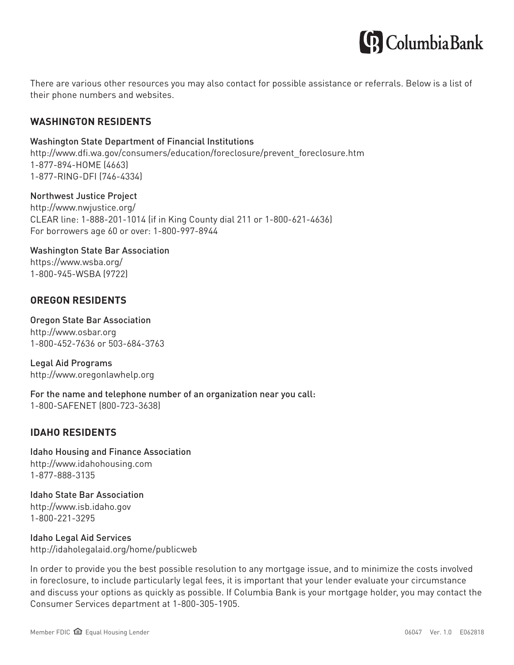

There are various other resources you may also contact for possible assistance or referrals. Below is a list of their phone numbers and websites.

#### **WASHINGTON RESIDENTS**

#### Washington State Department of Financial Institutions

http://www.dfi.wa.gov/consumers/education/foreclosure/prevent\_foreclosure.htm 1-877-894-HOME (4663) 1-877-RING-DFI (746-4334)

#### Northwest Justice Project

http://www.nwjustice.org/ CLEAR line: 1-888-201-1014 (if in King County dial 211 or 1-800-621-4636) For borrowers age 60 or over: 1-800-997-8944

#### Washington State Bar Association https://www.wsba.org/ 1-800-945-WSBA (9722)

#### **OREGON RESIDENTS**

#### Oregon State Bar Association http://www.osbar.org

1-800-452-7636 or 503-684-3763

Legal Aid Programs http://www.oregonlawhelp.org

For the name and telephone number of an organization near you call: 1-800-SAFENET (800-723-3638)

#### **IDAHO RESIDENTS**

Idaho Housing and Finance Association http://www.idahohousing.com 1-877-888-3135

Idaho State Bar Association http://www.isb.idaho.gov 1-800-221-3295

Idaho Legal Aid Services http://idaholegalaid.org/home/publicweb

In order to provide you the best possible resolution to any mortgage issue, and to minimize the costs involved in foreclosure, to include particularly legal fees, it is important that your lender evaluate your circumstance and discuss your options as quickly as possible. If Columbia Bank is your mortgage holder, you may contact the Consumer Services department at 1-800-305-1905.